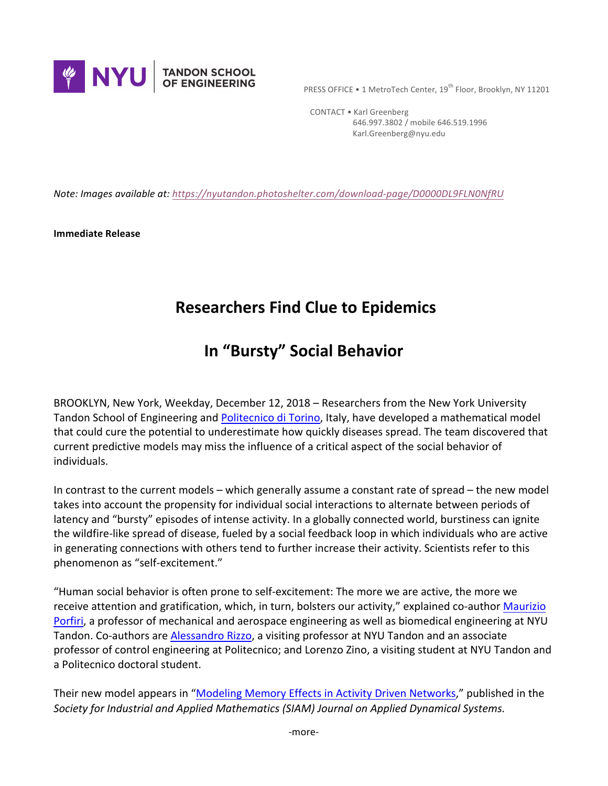

PRESS OFFICE • 1 MetroTech Center, 19<sup>th</sup> Floor, Brooklyn, NY 11201

 CONTACT • Karl Greenberg 646.997.3802 / mobile 646.519.1996 Karl.Greenberg@nyu.edu

*Note: Images available at: https://nyutandon.photoshelter.com/download-page/D0000DL9FLN0NfRU* 

**Immediate Release** 

## **Researchers Find Clue to Epidemics**

## **In "Bursty" Social Behavior**

BROOKLYN, New York, Weekday, December 12, 2018 – Researchers from the New York University Tandon School of Engineering and Politecnico di Torino, Italy, have developed a mathematical model that could cure the potential to underestimate how quickly diseases spread. The team discovered that current predictive models may miss the influence of a critical aspect of the social behavior of individuals.

In contrast to the current models – which generally assume a constant rate of spread – the new model takes into account the propensity for individual social interactions to alternate between periods of latency and "bursty" episodes of intense activity. In a globally connected world, burstiness can ignite the wildfire-like spread of disease, fueled by a social feedback loop in which individuals who are active in generating connections with others tend to further increase their activity. Scientists refer to this phenomenon as "self-excitement."

"Human social behavior is often prone to self-excitement: The more we are active, the more we receive attention and gratification, which, in turn, bolsters our activity," explained co-author Maurizio Porfiri, a professor of mechanical and aerospace engineering as well as biomedical engineering at NYU Tandon. Co-authors are Alessandro Rizzo, a visiting professor at NYU Tandon and an associate professor of control engineering at Politecnico; and Lorenzo Zino, a visiting student at NYU Tandon and a Politecnico doctoral student.

Their new model appears in "Modeling Memory Effects in Activity Driven Networks," published in the Society for Industrial and Applied Mathematics (SIAM) Journal on Applied Dynamical Systems.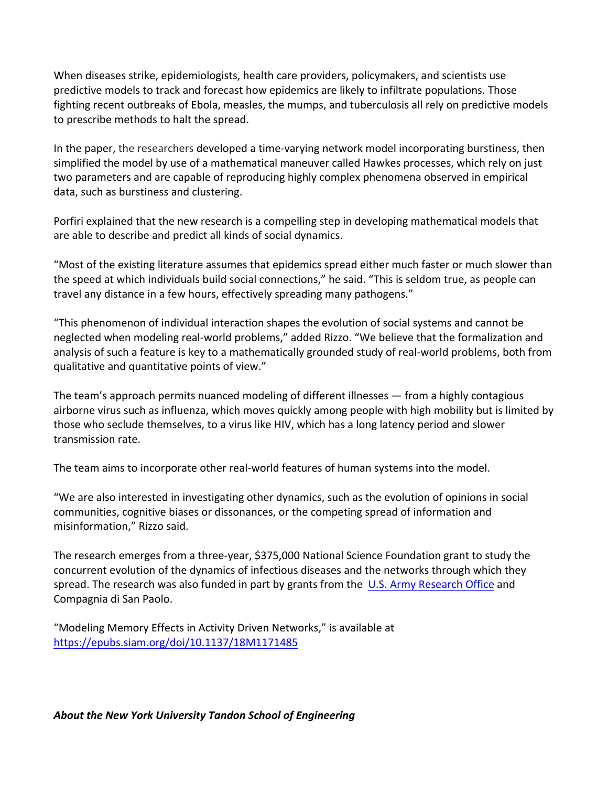When diseases strike, epidemiologists, health care providers, policymakers, and scientists use predictive models to track and forecast how epidemics are likely to infiltrate populations. Those fighting recent outbreaks of Ebola, measles, the mumps, and tuberculosis all rely on predictive models to prescribe methods to halt the spread.

In the paper, the researchers developed a time-varying network model incorporating burstiness, then simplified the model by use of a mathematical maneuver called Hawkes processes, which rely on just two parameters and are capable of reproducing highly complex phenomena observed in empirical data, such as burstiness and clustering.

Porfiri explained that the new research is a compelling step in developing mathematical models that are able to describe and predict all kinds of social dynamics.

"Most of the existing literature assumes that epidemics spread either much faster or much slower than the speed at which individuals build social connections," he said. "This is seldom true, as people can travel any distance in a few hours, effectively spreading many pathogens."

"This phenomenon of individual interaction shapes the evolution of social systems and cannot be neglected when modeling real-world problems," added Rizzo. "We believe that the formalization and analysis of such a feature is key to a mathematically grounded study of real-world problems, both from qualitative and quantitative points of view."

The team's approach permits nuanced modeling of different illnesses  $-$  from a highly contagious airborne virus such as influenza, which moves quickly among people with high mobility but is limited by those who seclude themselves, to a virus like HIV, which has a long latency period and slower transmission rate.

The team aims to incorporate other real-world features of human systems into the model.

"We are also interested in investigating other dynamics, such as the evolution of opinions in social communities, cognitive biases or dissonances, or the competing spread of information and misinformation," Rizzo said.

The research emerges from a three-year, \$375,000 National Science Foundation grant to study the concurrent evolution of the dynamics of infectious diseases and the networks through which they spread. The research was also funded in part by grants from the  $\overline{U.S.}$  Army Research Office and Compagnia di San Paolo.

"Modeling Memory Effects in Activity Driven Networks," is available at https://epubs.siam.org/doi/10.1137/18M1171485

About the New York University Tandon School of Engineering